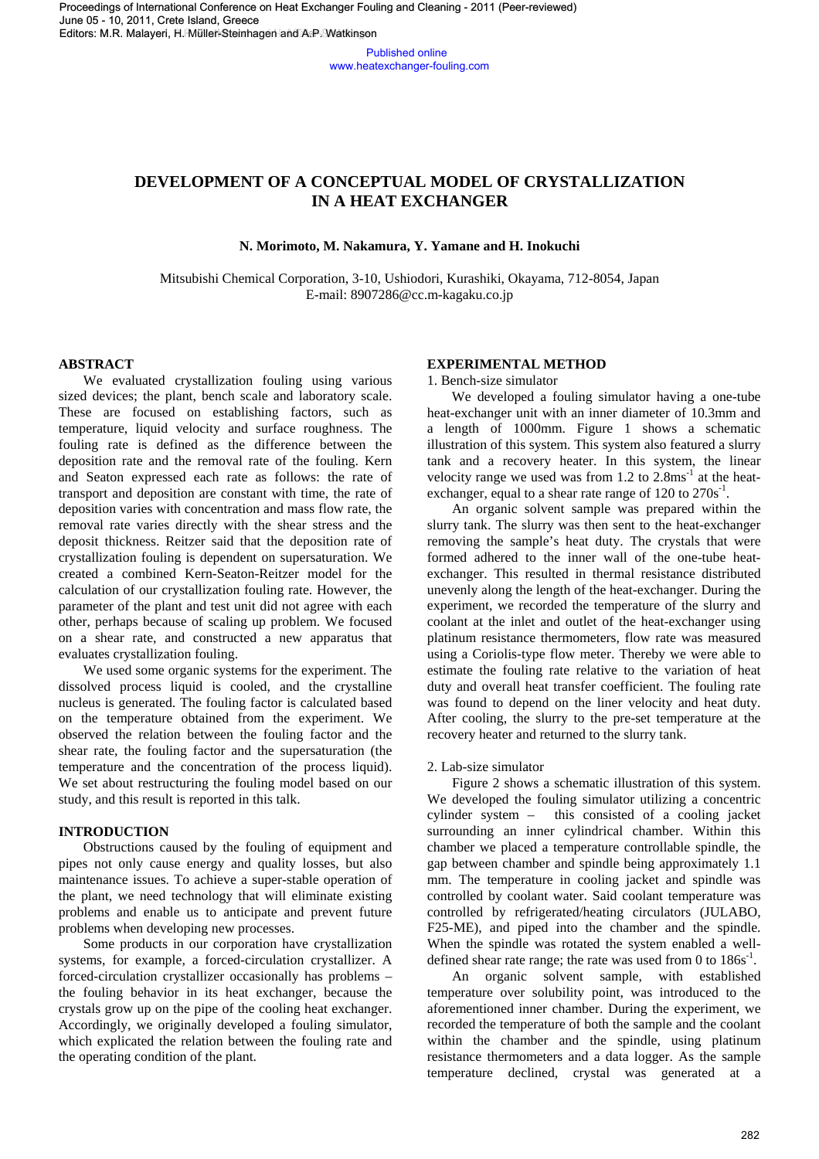Published online www.heatexchanger-fouling.com

# **DEVELOPMENT OF A CONCEPTUAL MODEL OF CRYSTALLIZATION IN A HEAT EXCHANGER**

**N. Morimoto, M. Nakamura, Y. Yamane and H. Inokuchi** 

Mitsubishi Chemical Corporation, 3-10, Ushiodori, Kurashiki, Okayama, 712-8054, Japan E-mail: 8907286@cc.m-kagaku.co.jp

# **ABSTRACT**

 We evaluated crystallization fouling using various sized devices; the plant, bench scale and laboratory scale. These are focused on establishing factors, such as temperature, liquid velocity and surface roughness. The fouling rate is defined as the difference between the deposition rate and the removal rate of the fouling. Kern and Seaton expressed each rate as follows: the rate of transport and deposition are constant with time, the rate of deposition varies with concentration and mass flow rate, the removal rate varies directly with the shear stress and the deposit thickness. Reitzer said that the deposition rate of crystallization fouling is dependent on supersaturation. We created a combined Kern-Seaton-Reitzer model for the calculation of our crystallization fouling rate. However, the parameter of the plant and test unit did not agree with each other, perhaps because of scaling up problem. We focused on a shear rate, and constructed a new apparatus that evaluates crystallization fouling.

We used some organic systems for the experiment. The dissolved process liquid is cooled, and the crystalline nucleus is generated. The fouling factor is calculated based on the temperature obtained from the experiment. We observed the relation between the fouling factor and the shear rate, the fouling factor and the supersaturation (the temperature and the concentration of the process liquid). We set about restructuring the fouling model based on our study, and this result is reported in this talk.

# **INTRODUCTION**

 Obstructions caused by the fouling of equipment and pipes not only cause energy and quality losses, but also maintenance issues. To achieve a super-stable operation of the plant, we need technology that will eliminate existing problems and enable us to anticipate and prevent future problems when developing new processes.

Some products in our corporation have crystallization systems, for example, a forced-circulation crystallizer. A forced-circulation crystallizer occasionally has problems – the fouling behavior in its heat exchanger, because the crystals grow up on the pipe of the cooling heat exchanger. Accordingly, we originally developed a fouling simulator, which explicated the relation between the fouling rate and the operating condition of the plant.

## **EXPERIMENTAL METHOD**

1. Bench-size simulator

 We developed a fouling simulator having a one-tube heat-exchanger unit with an inner diameter of 10.3mm and a length of 1000mm. Figure 1 shows a schematic illustration of this system. This system also featured a slurry tank and a recovery heater. In this system, the linear velocity range we used was from  $1.2$  to  $2.8 \text{ms}^{-1}$  at the heatexchanger, equal to a shear rate range of  $120$  to  $270s^{-1}$ .

An organic solvent sample was prepared within the slurry tank. The slurry was then sent to the heat-exchanger removing the sample's heat duty. The crystals that were formed adhered to the inner wall of the one-tube heatexchanger. This resulted in thermal resistance distributed unevenly along the length of the heat-exchanger. During the experiment, we recorded the temperature of the slurry and coolant at the inlet and outlet of the heat-exchanger using platinum resistance thermometers, flow rate was measured using a Coriolis-type flow meter. Thereby we were able to estimate the fouling rate relative to the variation of heat duty and overall heat transfer coefficient. The fouling rate was found to depend on the liner velocity and heat duty. After cooling, the slurry to the pre-set temperature at the recovery heater and returned to the slurry tank. 282 H. München and A.P. Waterson high control in the control of the control of the control of the control of the control of the control of the control of the control of the control of the control of the control of the con

## 2. Lab-size simulator

Figure 2 shows a schematic illustration of this system. We developed the fouling simulator utilizing a concentric cylinder system – this consisted of a cooling jacket surrounding an inner cylindrical chamber. Within this chamber we placed a temperature controllable spindle, the gap between chamber and spindle being approximately 1.1 mm. The temperature in cooling jacket and spindle was controlled by coolant water. Said coolant temperature was controlled by refrigerated/heating circulators (JULABO, F25-ME), and piped into the chamber and the spindle. When the spindle was rotated the system enabled a welldefined shear rate range; the rate was used from 0 to  $186s^{-1}$ .

An organic solvent sample, with established temperature over solubility point, was introduced to the aforementioned inner chamber. During the experiment, we recorded the temperature of both the sample and the coolant within the chamber and the spindle, using platinum resistance thermometers and a data logger. As the sample temperature declined, crystal was generated at a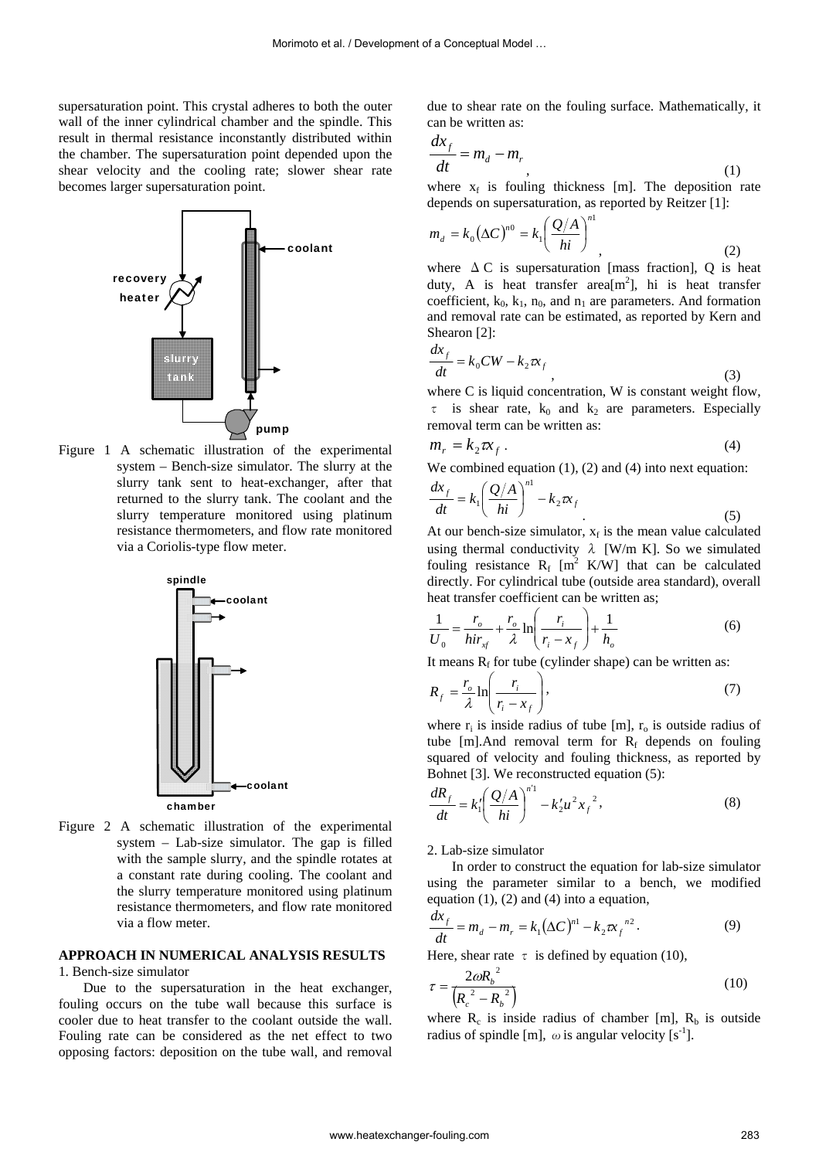supersaturation point. This crystal adheres to both the outer wall of the inner cylindrical chamber and the spindle. This result in thermal resistance inconstantly distributed within the chamber. The supersaturation point depended upon the shear velocity and the cooling rate; slower shear rate becomes larger supersaturation point.



Figure 1 A schematic illustration of the experimental system – Bench-size simulator. The slurry at the slurry tank sent to heat-exchanger, after that returned to the slurry tank. The coolant and the slurry temperature monitored using platinum resistance thermometers, and flow rate monitored via a Coriolis-type flow meter.



Figure 2 A schematic illustration of the experimental system – Lab-size simulator. The gap is filled with the sample slurry, and the spindle rotates at a constant rate during cooling. The coolant and the slurry temperature monitored using platinum resistance thermometers, and flow rate monitored via a flow meter.

# **APPROACH IN NUMERICAL ANALYSIS RESULTS**

1. Bench-size simulator

Due to the supersaturation in the heat exchanger, fouling occurs on the tube wall because this surface is cooler due to heat transfer to the coolant outside the wall. Fouling rate can be considered as the net effect to two opposing factors: deposition on the tube wall, and removal due to shear rate on the fouling surface. Mathematically, it can be written as:

$$
\frac{dx_f}{dt} = m_d - m_r \tag{1}
$$

where  $x_f$  is fouling thickness [m]. The deposition rate depends on supersaturation, as reported by Reitzer [1]:

$$
m_d = k_0 (\Delta C)^{n_0} = k_1 \left(\frac{Q/A}{hi}\right)^{n_1},
$$
 (2)

where  $\Delta C$  is supersaturation [mass fraction], Q is heat duty, A is heat transfer area $[m^2]$ , hi is heat transfer coefficient,  $k_0$ ,  $k_1$ ,  $n_0$ , and  $n_1$  are parameters. And formation and removal rate can be estimated, as reported by Kern and Shearon [2]:

$$
\frac{dx_f}{dt} = k_0 CW - k_2 \pi_f \tag{3}
$$

where C is liquid concentration, W is constant weight flow,  $\tau$  is shear rate,  $k_0$  and  $k_2$  are parameters. Especially removal term can be written as:

$$
m_r = k_2 \pi r_f \,. \tag{4}
$$

We combined equation (1), (2) and (4) into next equation:

$$
\frac{dx_f}{dt} = k_1 \left(\frac{Q/A}{hi}\right)^{n_1} - k_2 \pi f
$$
\n(5)

At our bench-size simulator,  $x_f$  is the mean value calculated using thermal conductivity  $\lambda$  [W/m K]. So we simulated fouling resistance  $R_f$  [m<sup>2</sup> K/W] that can be calculated directly. For cylindrical tube (outside area standard), overall heat transfer coefficient can be written as; Mormoto et al. Ossestopremt of a Conceptual Model …<br>
and the spin of the final model with the content of the spin of the spin of the spin of the spin of the spin of the spin of the spin of the spin of the spin of the spin

$$
\frac{1}{U_0} = \frac{r_o}{hir_{xf}} + \frac{r_o}{\lambda} \ln \left( \frac{r_i}{r_i - x_f} \right) + \frac{1}{h_o}
$$
 (6)

It means  $R_f$  for tube (cylinder shape) can be written as:

$$
R_f = \frac{r_o}{\lambda} \ln \left( \frac{r_i}{r_i - x_f} \right),\tag{7}
$$

where  $r_i$  is inside radius of tube [m],  $r_o$  is outside radius of tube [m].And removal term for  $R_f$  depends on fouling squared of velocity and fouling thickness, as reported by Bohnet [3]. We reconstructed equation (5):

$$
\frac{dR_f}{dt} = k_1' \left(\frac{Q/A}{hi}\right)^{n'1} - k_2' u^2 x_f^2,
$$
\n(8)

2. Lab-size simulator

In order to construct the equation for lab-size simulator using the parameter similar to a bench, we modified equation  $(1)$ ,  $(2)$  and  $(4)$  into a equation,

$$
\frac{dx_f}{dt} = m_d - m_r = k_1 (\Delta C)^{n_1} - k_2 \pi r_f^{n_2}.
$$
 (9)

Here, shear rate  $\tau$  is defined by equation (10),

$$
\tau = \frac{2\omega R_b^2}{\left(R_c^2 - R_b^2\right)}\tag{10}
$$

where  $R_c$  is inside radius of chamber [m],  $R_b$  is outside radius of spindle [m],  $\omega$  is angular velocity [s<sup>-1</sup>].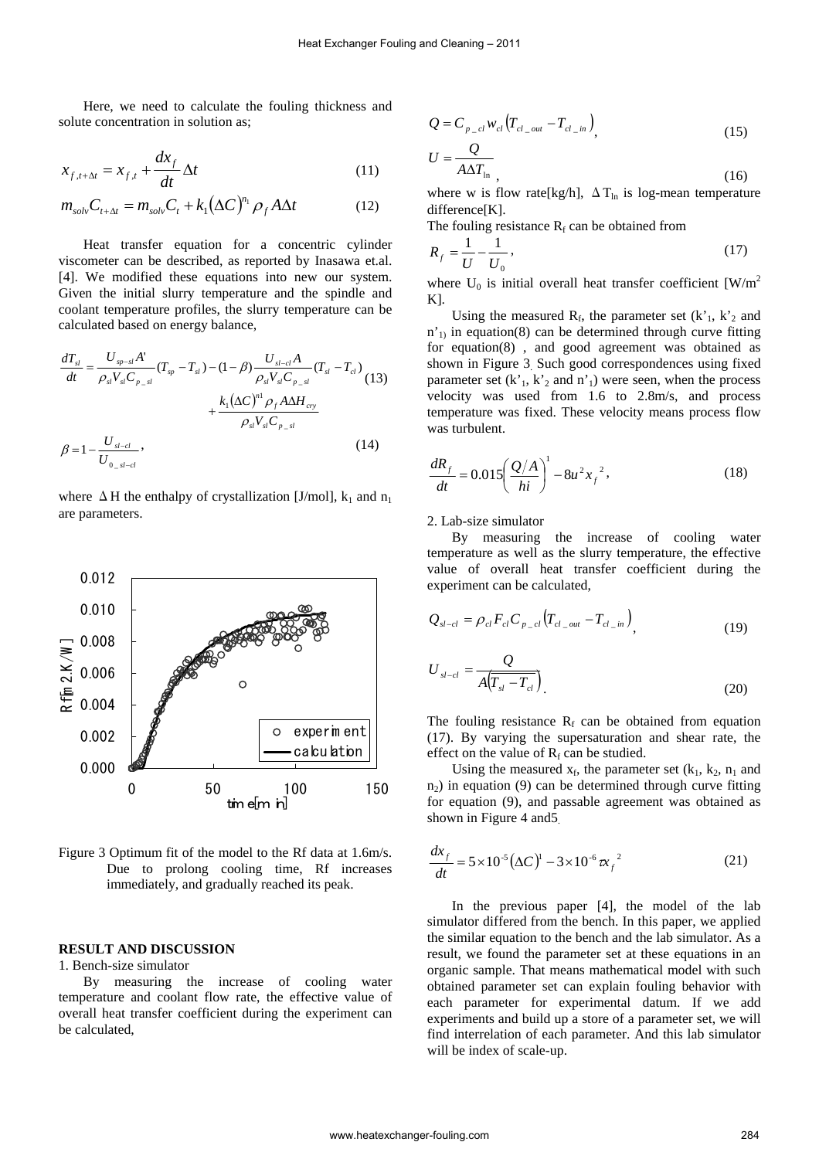Here, we need to calculate the fouling thickness and solute concentration in solution as;

$$
x_{f,t+\Delta t} = x_{f,t} + \frac{dx_f}{dt} \Delta t \tag{11}
$$

$$
m_{solv}C_{t+\Delta t} = m_{solv}C_t + k_1(\Delta C)^{n_1} \rho_f A \Delta t \qquad (12)
$$

Heat transfer equation for a concentric cylinder viscometer can be described, as reported by Inasawa et.al. [4]. We modified these equations into new our system. Given the initial slurry temperature and the spindle and coolant temperature profiles, the slurry temperature can be calculated based on energy balance,

$$
\frac{dT_{sl}}{dt} = \frac{U_{sp-sl}A'}{\rho_{sl}V_{sl}C_{p_{sl}}} (T_{sp} - T_{sl}) - (1 - \beta) \frac{U_{sl-cl}A}{\rho_{sl}V_{sl}C_{p_{sl}}} (T_{sl} - T_{cl})
$$
\n
$$
+ \frac{k_1(\Delta C)^{n_1} \rho_f A \Delta H_{cry}}{\rho_{sl}V_{sl}C_{p_{sl}}}
$$
\n
$$
\beta = 1 - \frac{U_{sl-cl}}{U_{0sl-lcl}},
$$
\n(14)

where  $\Delta$  H the enthalpy of crystallization [J/mol], k<sub>1</sub> and n<sub>1</sub> are parameters.



Figure 3 Optimum fit of the model to the Rf data at 1.6m/s. Due to prolong cooling time, Rf increases immediately, and gradually reached its peak.

## **RESULT AND DISCUSSION**

1. Bench-size simulator

By measuring the increase of cooling water temperature and coolant flow rate, the effective value of overall heat transfer coefficient during the experiment can be calculated,

$$
Q = C_{p_{cl}} w_{cl} \left( T_{cl_{coll}} - T_{cl_{lin}} \right), \tag{15}
$$

$$
U = \frac{Q}{A\Delta T_{\text{ln}}},\tag{16}
$$

where w is flow rate[kg/h],  $\Delta T_{\text{ln}}$  is log-mean temperature difference[K].

The fouling resistance  $R_f$  can be obtained from

$$
R_f = \frac{1}{U} - \frac{1}{U_0},\tag{17}
$$

where  $U_0$  is initial overall heat transfer coefficient [W/m<sup>2</sup> K].

Using the measured  $R_f$ , the parameter set  $(k'_1, k'_2, n_d)$  $n'$ <sub>1</sub> in equation(8) can be determined through curve fitting for equation(8) , and good agreement was obtained as shown in Figure 3. Such good correspondences using fixed parameter set  $(k'_1, k'_2, n d_n')$  were seen, when the process velocity was used from 1.6 to 2.8m/s, and process temperature was fixed. These velocity means process flow was turbulent.

$$
\frac{dR_f}{dt} = 0.015 \left( \frac{Q/A}{hi} \right)^1 - 8u^2 x_f^2,
$$
\n(18)

#### 2. Lab-size simulator

By measuring the increase of cooling water temperature as well as the slurry temperature, the effective value of overall heat transfer coefficient during the experiment can be calculated,

$$
Q_{sl-cl} = \rho_{cl} F_{cl} C_{p_{cl}} \left( T_{cl\_out} - T_{cl\_in} \right), \tag{19}
$$

$$
U_{sl-cl} = \frac{Q}{A(T_{sl} - T_{cl})}
$$
\n(20)

The fouling resistance  $R_f$  can be obtained from equation (17). By varying the supersaturation and shear rate, the effect on the value of  $R_f$  can be studied.

Using the measured  $x_f$ , the parameter set  $(k_1, k_2, n_1$  and  $n<sub>2</sub>$ ) in equation (9) can be determined through curve fitting for equation (9), and passable agreement was obtained as shown in Figure 4 and5.

$$
\frac{dx_{f}}{dt} = 5 \times 10^{-5} (\Delta C)^{1} - 3 \times 10^{-6} \pi_{f}^{2}
$$
 (21)

In the previous paper [4], the model of the lab simulator differed from the bench. In this paper, we applied the similar equation to the bench and the lab simulator. As a result, we found the parameter set at these equations in an organic sample. That means mathematical model with such obtained parameter set can explain fouling behavior with each parameter for experimental datum. If we add experiments and build up a store of a parameter set, we will find interrelation of each parameter. And this lab simulator will be index of scale-up.